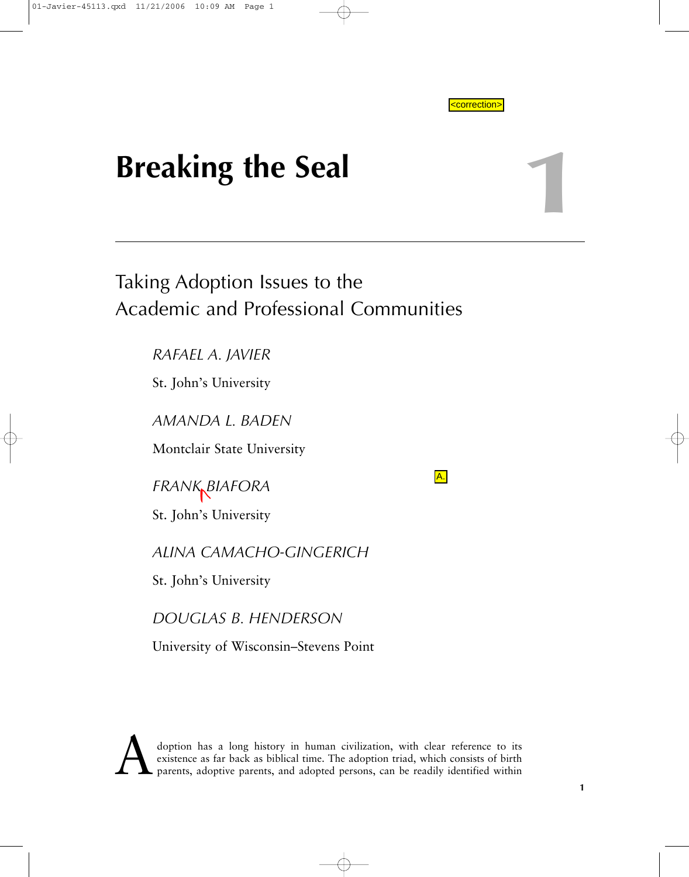Taking Adoption Issues to the Academic and Professional Communities <u>correction></u><br>
ies<br>
ies<br>
<u>A.</u>

*RAFAEL A. JAVIER*

St. John's University

*AMANDA L. BADEN*

Montclair State University

*FRANK BIAFORA*

St. John's University

*ALINA CAMACHO-GINGERICH*

St. John's University

*DOUGLAS B. HENDERSON*

University of Wisconsin–Stevens Point



doption has a long history in human civilization, with clear reference to its existence as far back as biblical time. The adoption triad, which consists of birth parents, adoptive parents, and adopted persons, can be readily identified within

**1**

**1**

<correction>

A.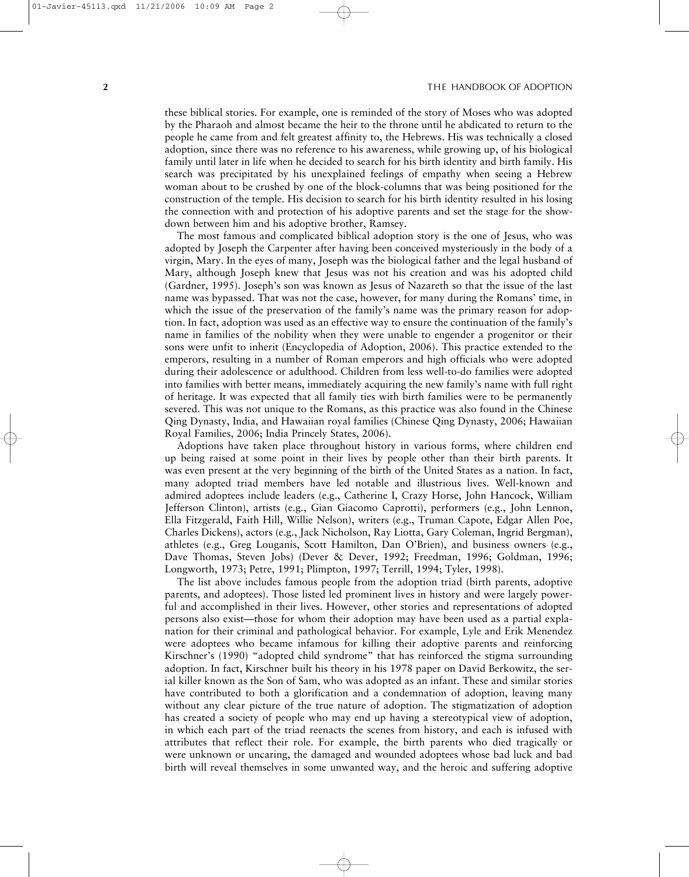these biblical stories. For example, one is reminded of the story of Moses who was adopted by the Pharaoh and almost became the heir to the throne until he abdicated to return to the people he came from and felt greatest affinity to, the Hebrews. His was technically a closed adoption, since there was no reference to his awareness, while growing up, of his biological family until later in life when he decided to search for his birth identity and birth family. His search was precipitated by his unexplained feelings of empathy when seeing a Hebrew woman about to be crushed by one of the block-columns that was being positioned for the construction of the temple. His decision to search for his birth identity resulted in his losing the connection with and protection of his adoptive parents and set the stage for the showdown between him and his adoptive brother, Ramsey.

The most famous and complicated biblical adoption story is the one of Jesus, who was adopted by Joseph the Carpenter after having been conceived mysteriously in the body of a virgin, Mary. In the eyes of many, Joseph was the biological father and the legal husband of Mary, although Joseph knew that Jesus was not his creation and was his adopted child (Gardner, 1995). Joseph's son was known as Jesus of Nazareth so that the issue of the last name was bypassed. That was not the case, however, for many during the Romans' time, in which the issue of the preservation of the family's name was the primary reason for adoption. In fact, adoption was used as an effective way to ensure the continuation of the family's name in families of the nobility when they were unable to engender a progenitor or their sons were unfit to inherit (Encyclopedia of Adoption, 2006). This practice extended to the emperors, resulting in a number of Roman emperors and high officials who were adopted during their adolescence or adulthood. Children from less well-to-do families were adopted into families with better means, immediately acquiring the new family's name with full right of heritage. It was expected that all family ties with birth families were to be permanently severed. This was not unique to the Romans, as this practice was also found in the Chinese Qing Dynasty, India, and Hawaiian royal families (Chinese Qing Dynasty, 2006; Hawaiian Royal Families, 2006; India Princely States, 2006).

Adoptions have taken place throughout history in various forms, where children end up being raised at some point in their lives by people other than their birth parents. It was even present at the very beginning of the birth of the United States as a nation. In fact, many adopted triad members have led notable and illustrious lives. Well-known and admired adoptees include leaders (e.g., Catherine I, Crazy Horse, John Hancock, William Jefferson Clinton), artists (e.g., Gian Giacomo Caprotti), performers (e.g., John Lennon, Ella Fitzgerald, Faith Hill, Willie Nelson), writers (e.g., Truman Capote, Edgar Allen Poe, Charles Dickens), actors (e.g., Jack Nicholson, Ray Liotta, Gary Coleman, Ingrid Bergman), athletes (e.g., Greg Louganis, Scott Hamilton, Dan O'Brien), and business owners (e.g., Dave Thomas, Steven Jobs) (Dever & Dever, 1992; Freedman, 1996; Goldman, 1996; Longworth, 1973; Petre, 1991; Plimpton, 1997; Terrill, 1994; Tyler, 1998).

The list above includes famous people from the adoption triad (birth parents, adoptive parents, and adoptees). Those listed led prominent lives in history and were largely powerful and accomplished in their lives. However, other stories and representations of adopted persons also exist—those for whom their adoption may have been used as a partial explanation for their criminal and pathological behavior. For example, Lyle and Erik Menendez were adoptees who became infamous for killing their adoptive parents and reinforcing Kirschner's (1990) "adopted child syndrome" that has reinforced the stigma surrounding adoption. In fact, Kirschner built his theory in his 1978 paper on David Berkowitz, the serial killer known as the Son of Sam, who was adopted as an infant. These and similar stories have contributed to both a glorification and a condemnation of adoption, leaving many without any clear picture of the true nature of adoption. The stigmatization of adoption has created a society of people who may end up having a stereotypical view of adoption, in which each part of the triad reenacts the scenes from history, and each is infused with attributes that reflect their role. For example, the birth parents who died tragically or were unknown or uncaring, the damaged and wounded adoptees whose bad luck and bad birth will reveal themselves in some unwanted way, and the heroic and suffering adoptive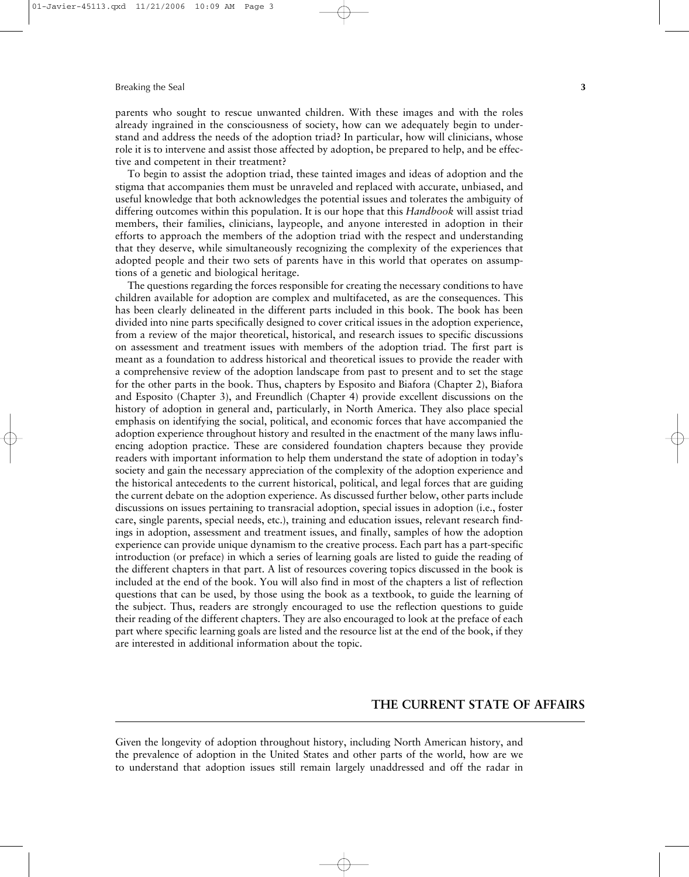parents who sought to rescue unwanted children. With these images and with the roles already ingrained in the consciousness of society, how can we adequately begin to understand and address the needs of the adoption triad? In particular, how will clinicians, whose role it is to intervene and assist those affected by adoption, be prepared to help, and be effective and competent in their treatment?

To begin to assist the adoption triad, these tainted images and ideas of adoption and the stigma that accompanies them must be unraveled and replaced with accurate, unbiased, and useful knowledge that both acknowledges the potential issues and tolerates the ambiguity of differing outcomes within this population. It is our hope that this *Handbook* will assist triad members, their families, clinicians, laypeople, and anyone interested in adoption in their efforts to approach the members of the adoption triad with the respect and understanding that they deserve, while simultaneously recognizing the complexity of the experiences that adopted people and their two sets of parents have in this world that operates on assumptions of a genetic and biological heritage.

The questions regarding the forces responsible for creating the necessary conditions to have children available for adoption are complex and multifaceted, as are the consequences. This has been clearly delineated in the different parts included in this book. The book has been divided into nine parts specifically designed to cover critical issues in the adoption experience, from a review of the major theoretical, historical, and research issues to specific discussions on assessment and treatment issues with members of the adoption triad. The first part is meant as a foundation to address historical and theoretical issues to provide the reader with a comprehensive review of the adoption landscape from past to present and to set the stage for the other parts in the book. Thus, chapters by Esposito and Biafora (Chapter 2), Biafora and Esposito (Chapter 3), and Freundlich (Chapter 4) provide excellent discussions on the history of adoption in general and, particularly, in North America. They also place special emphasis on identifying the social, political, and economic forces that have accompanied the adoption experience throughout history and resulted in the enactment of the many laws influencing adoption practice. These are considered foundation chapters because they provide readers with important information to help them understand the state of adoption in today's society and gain the necessary appreciation of the complexity of the adoption experience and the historical antecedents to the current historical, political, and legal forces that are guiding the current debate on the adoption experience. As discussed further below, other parts include discussions on issues pertaining to transracial adoption, special issues in adoption (i.e., foster care, single parents, special needs, etc.), training and education issues, relevant research findings in adoption, assessment and treatment issues, and finally, samples of how the adoption experience can provide unique dynamism to the creative process. Each part has a part-specific introduction (or preface) in which a series of learning goals are listed to guide the reading of the different chapters in that part. A list of resources covering topics discussed in the book is included at the end of the book. You will also find in most of the chapters a list of reflection questions that can be used, by those using the book as a textbook, to guide the learning of the subject. Thus, readers are strongly encouraged to use the reflection questions to guide their reading of the different chapters. They are also encouraged to look at the preface of each part where specific learning goals are listed and the resource list at the end of the book, if they are interested in additional information about the topic.

# **THE CURRENT STATE OF AFFAIRS**

Given the longevity of adoption throughout history, including North American history, and the prevalence of adoption in the United States and other parts of the world, how are we to understand that adoption issues still remain largely unaddressed and off the radar in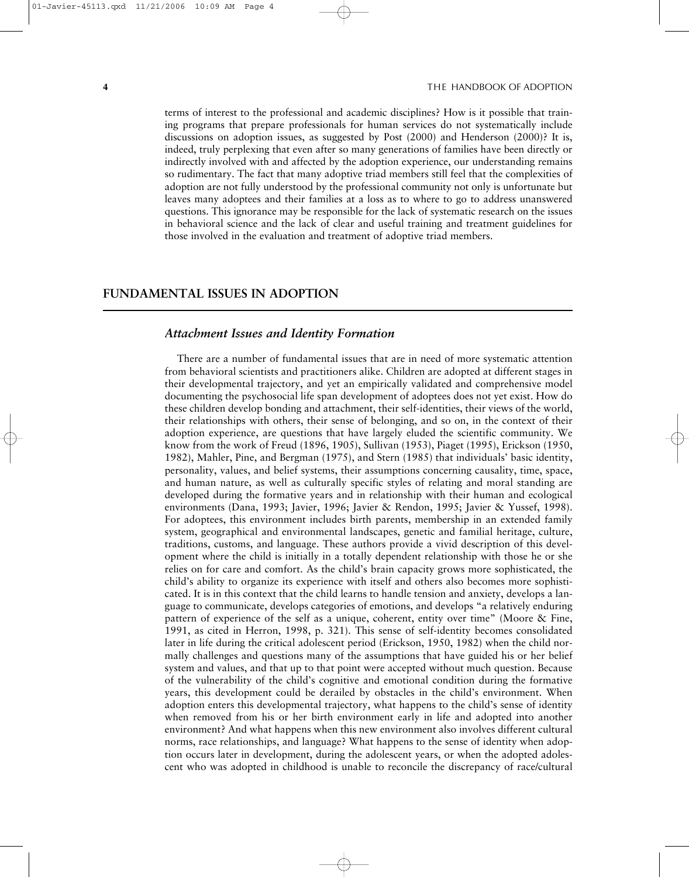terms of interest to the professional and academic disciplines? How is it possible that training programs that prepare professionals for human services do not systematically include discussions on adoption issues, as suggested by Post (2000) and Henderson (2000)? It is, indeed, truly perplexing that even after so many generations of families have been directly or indirectly involved with and affected by the adoption experience, our understanding remains so rudimentary. The fact that many adoptive triad members still feel that the complexities of adoption are not fully understood by the professional community not only is unfortunate but leaves many adoptees and their families at a loss as to where to go to address unanswered questions. This ignorance may be responsible for the lack of systematic research on the issues in behavioral science and the lack of clear and useful training and treatment guidelines for those involved in the evaluation and treatment of adoptive triad members.

# **FUNDAMENTAL ISSUES IN ADOPTION**

# *Attachment Issues and Identity Formation*

There are a number of fundamental issues that are in need of more systematic attention from behavioral scientists and practitioners alike. Children are adopted at different stages in their developmental trajectory, and yet an empirically validated and comprehensive model documenting the psychosocial life span development of adoptees does not yet exist. How do these children develop bonding and attachment, their self-identities, their views of the world, their relationships with others, their sense of belonging, and so on, in the context of their adoption experience, are questions that have largely eluded the scientific community. We know from the work of Freud (1896, 1905), Sullivan (1953), Piaget (1995), Erickson (1950, 1982), Mahler, Pine, and Bergman (1975), and Stern (1985) that individuals' basic identity, personality, values, and belief systems, their assumptions concerning causality, time, space, and human nature, as well as culturally specific styles of relating and moral standing are developed during the formative years and in relationship with their human and ecological environments (Dana, 1993; Javier, 1996; Javier & Rendon, 1995; Javier & Yussef, 1998). For adoptees, this environment includes birth parents, membership in an extended family system, geographical and environmental landscapes, genetic and familial heritage, culture, traditions, customs, and language. These authors provide a vivid description of this development where the child is initially in a totally dependent relationship with those he or she relies on for care and comfort. As the child's brain capacity grows more sophisticated, the child's ability to organize its experience with itself and others also becomes more sophisticated. It is in this context that the child learns to handle tension and anxiety, develops a language to communicate, develops categories of emotions, and develops "a relatively enduring pattern of experience of the self as a unique, coherent, entity over time" (Moore & Fine, 1991, as cited in Herron, 1998, p. 321). This sense of self-identity becomes consolidated later in life during the critical adolescent period (Erickson, 1950, 1982) when the child normally challenges and questions many of the assumptions that have guided his or her belief system and values, and that up to that point were accepted without much question. Because of the vulnerability of the child's cognitive and emotional condition during the formative years, this development could be derailed by obstacles in the child's environment. When adoption enters this developmental trajectory, what happens to the child's sense of identity when removed from his or her birth environment early in life and adopted into another environment? And what happens when this new environment also involves different cultural norms, race relationships, and language? What happens to the sense of identity when adoption occurs later in development, during the adolescent years, or when the adopted adolescent who was adopted in childhood is unable to reconcile the discrepancy of race/cultural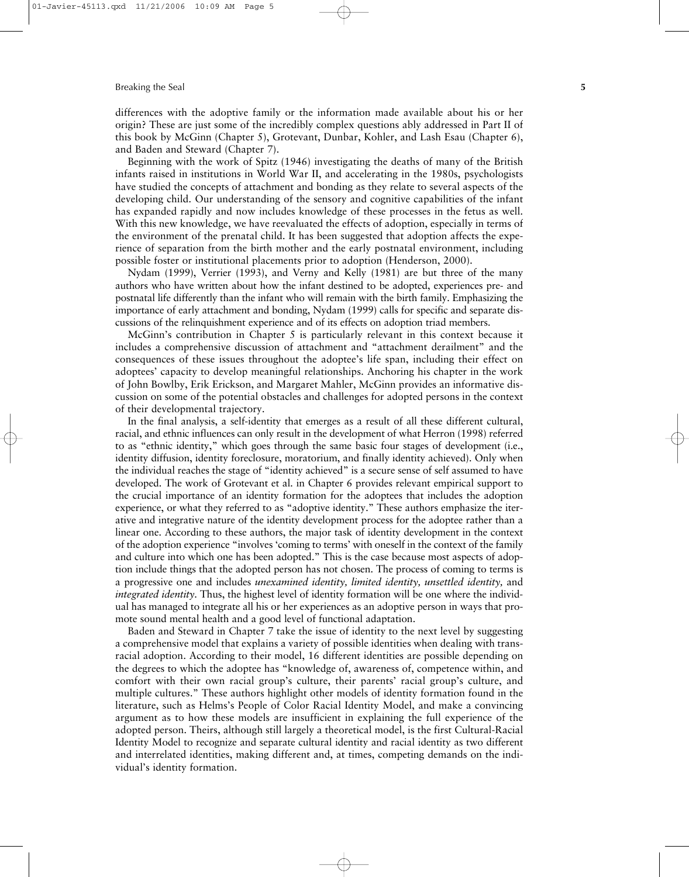differences with the adoptive family or the information made available about his or her origin? These are just some of the incredibly complex questions ably addressed in Part II of this book by McGinn (Chapter 5), Grotevant, Dunbar, Kohler, and Lash Esau (Chapter 6), and Baden and Steward (Chapter 7).

Beginning with the work of Spitz (1946) investigating the deaths of many of the British infants raised in institutions in World War II, and accelerating in the 1980s, psychologists have studied the concepts of attachment and bonding as they relate to several aspects of the developing child. Our understanding of the sensory and cognitive capabilities of the infant has expanded rapidly and now includes knowledge of these processes in the fetus as well. With this new knowledge, we have reevaluated the effects of adoption, especially in terms of the environment of the prenatal child. It has been suggested that adoption affects the experience of separation from the birth mother and the early postnatal environment, including possible foster or institutional placements prior to adoption (Henderson, 2000).

Nydam (1999), Verrier (1993), and Verny and Kelly (1981) are but three of the many authors who have written about how the infant destined to be adopted, experiences pre- and postnatal life differently than the infant who will remain with the birth family. Emphasizing the importance of early attachment and bonding, Nydam (1999) calls for specific and separate discussions of the relinquishment experience and of its effects on adoption triad members.

McGinn's contribution in Chapter 5 is particularly relevant in this context because it includes a comprehensive discussion of attachment and "attachment derailment" and the consequences of these issues throughout the adoptee's life span, including their effect on adoptees' capacity to develop meaningful relationships. Anchoring his chapter in the work of John Bowlby, Erik Erickson, and Margaret Mahler, McGinn provides an informative discussion on some of the potential obstacles and challenges for adopted persons in the context of their developmental trajectory.

In the final analysis, a self-identity that emerges as a result of all these different cultural, racial, and ethnic influences can only result in the development of what Herron (1998) referred to as "ethnic identity," which goes through the same basic four stages of development (i.e., identity diffusion, identity foreclosure, moratorium, and finally identity achieved). Only when the individual reaches the stage of "identity achieved" is a secure sense of self assumed to have developed. The work of Grotevant et al. in Chapter 6 provides relevant empirical support to the crucial importance of an identity formation for the adoptees that includes the adoption experience, or what they referred to as "adoptive identity." These authors emphasize the iterative and integrative nature of the identity development process for the adoptee rather than a linear one. According to these authors, the major task of identity development in the context of the adoption experience "involves 'coming to terms' with oneself in the context of the family and culture into which one has been adopted." This is the case because most aspects of adoption include things that the adopted person has not chosen. The process of coming to terms is a progressive one and includes *unexamined identity, limited identity, unsettled identity,* and *integrated identity.* Thus, the highest level of identity formation will be one where the individual has managed to integrate all his or her experiences as an adoptive person in ways that promote sound mental health and a good level of functional adaptation.

Baden and Steward in Chapter 7 take the issue of identity to the next level by suggesting a comprehensive model that explains a variety of possible identities when dealing with transracial adoption. According to their model, 16 different identities are possible depending on the degrees to which the adoptee has "knowledge of, awareness of, competence within, and comfort with their own racial group's culture, their parents' racial group's culture, and multiple cultures." These authors highlight other models of identity formation found in the literature, such as Helms's People of Color Racial Identity Model, and make a convincing argument as to how these models are insufficient in explaining the full experience of the adopted person. Theirs, although still largely a theoretical model, is the first Cultural-Racial Identity Model to recognize and separate cultural identity and racial identity as two different and interrelated identities, making different and, at times, competing demands on the individual's identity formation.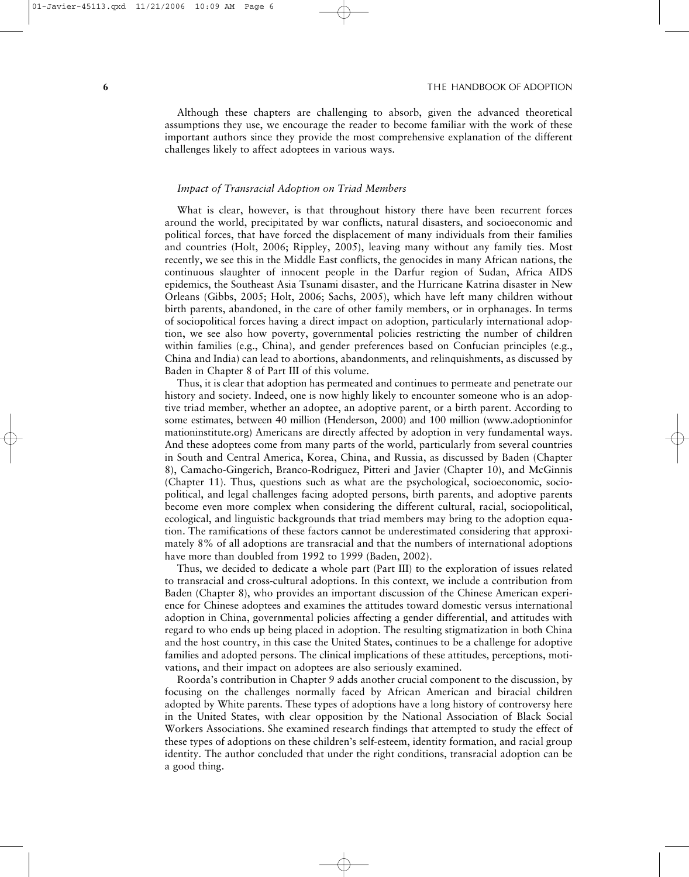01-Javier-45113.qxd 11/21/2006 10:09 AM Page 6

Although these chapters are challenging to absorb, given the advanced theoretical assumptions they use, we encourage the reader to become familiar with the work of these important authors since they provide the most comprehensive explanation of the different challenges likely to affect adoptees in various ways.

## *Impact of Transracial Adoption on Triad Members*

What is clear, however, is that throughout history there have been recurrent forces around the world, precipitated by war conflicts, natural disasters, and socioeconomic and political forces, that have forced the displacement of many individuals from their families and countries (Holt, 2006; Rippley, 2005), leaving many without any family ties. Most recently, we see this in the Middle East conflicts, the genocides in many African nations, the continuous slaughter of innocent people in the Darfur region of Sudan, Africa AIDS epidemics, the Southeast Asia Tsunami disaster, and the Hurricane Katrina disaster in New Orleans (Gibbs, 2005; Holt, 2006; Sachs, 2005), which have left many children without birth parents, abandoned, in the care of other family members, or in orphanages. In terms of sociopolitical forces having a direct impact on adoption, particularly international adoption, we see also how poverty, governmental policies restricting the number of children within families (e.g., China), and gender preferences based on Confucian principles (e.g., China and India) can lead to abortions, abandonments, and relinquishments, as discussed by Baden in Chapter 8 of Part III of this volume.

Thus, it is clear that adoption has permeated and continues to permeate and penetrate our history and society. Indeed, one is now highly likely to encounter someone who is an adoptive triad member, whether an adoptee, an adoptive parent, or a birth parent. According to some estimates, between 40 million (Henderson, 2000) and 100 million (www.adoptioninfor mationinstitute.org) Americans are directly affected by adoption in very fundamental ways. And these adoptees come from many parts of the world, particularly from several countries in South and Central America, Korea, China, and Russia, as discussed by Baden (Chapter 8), Camacho-Gingerich, Branco-Rodriguez, Pitteri and Javier (Chapter 10), and McGinnis (Chapter 11). Thus, questions such as what are the psychological, socioeconomic, sociopolitical, and legal challenges facing adopted persons, birth parents, and adoptive parents become even more complex when considering the different cultural, racial, sociopolitical, ecological, and linguistic backgrounds that triad members may bring to the adoption equation. The ramifications of these factors cannot be underestimated considering that approximately 8% of all adoptions are transracial and that the numbers of international adoptions have more than doubled from 1992 to 1999 (Baden, 2002).

Thus, we decided to dedicate a whole part (Part III) to the exploration of issues related to transracial and cross-cultural adoptions. In this context, we include a contribution from Baden (Chapter 8), who provides an important discussion of the Chinese American experience for Chinese adoptees and examines the attitudes toward domestic versus international adoption in China, governmental policies affecting a gender differential, and attitudes with regard to who ends up being placed in adoption. The resulting stigmatization in both China and the host country, in this case the United States, continues to be a challenge for adoptive families and adopted persons. The clinical implications of these attitudes, perceptions, motivations, and their impact on adoptees are also seriously examined.

Roorda's contribution in Chapter 9 adds another crucial component to the discussion, by focusing on the challenges normally faced by African American and biracial children adopted by White parents. These types of adoptions have a long history of controversy here in the United States, with clear opposition by the National Association of Black Social Workers Associations. She examined research findings that attempted to study the effect of these types of adoptions on these children's self-esteem, identity formation, and racial group identity. The author concluded that under the right conditions, transracial adoption can be a good thing.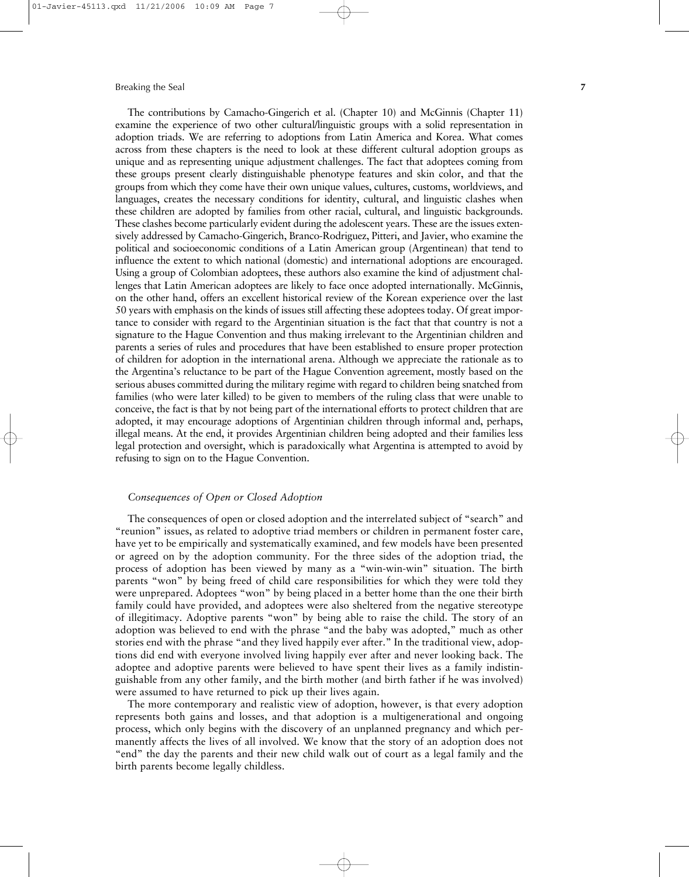The contributions by Camacho-Gingerich et al. (Chapter 10) and McGinnis (Chapter 11) examine the experience of two other cultural/linguistic groups with a solid representation in adoption triads. We are referring to adoptions from Latin America and Korea. What comes across from these chapters is the need to look at these different cultural adoption groups as unique and as representing unique adjustment challenges. The fact that adoptees coming from these groups present clearly distinguishable phenotype features and skin color, and that the groups from which they come have their own unique values, cultures, customs, worldviews, and languages, creates the necessary conditions for identity, cultural, and linguistic clashes when these children are adopted by families from other racial, cultural, and linguistic backgrounds. These clashes become particularly evident during the adolescent years. These are the issues extensively addressed by Camacho-Gingerich, Branco-Rodriguez, Pitteri, and Javier, who examine the political and socioeconomic conditions of a Latin American group (Argentinean) that tend to influence the extent to which national (domestic) and international adoptions are encouraged. Using a group of Colombian adoptees, these authors also examine the kind of adjustment challenges that Latin American adoptees are likely to face once adopted internationally. McGinnis, on the other hand, offers an excellent historical review of the Korean experience over the last 50 years with emphasis on the kinds of issues still affecting these adoptees today. Of great importance to consider with regard to the Argentinian situation is the fact that that country is not a signature to the Hague Convention and thus making irrelevant to the Argentinian children and parents a series of rules and procedures that have been established to ensure proper protection of children for adoption in the international arena. Although we appreciate the rationale as to the Argentina's reluctance to be part of the Hague Convention agreement, mostly based on the serious abuses committed during the military regime with regard to children being snatched from families (who were later killed) to be given to members of the ruling class that were unable to conceive, the fact is that by not being part of the international efforts to protect children that are adopted, it may encourage adoptions of Argentinian children through informal and, perhaps, illegal means. At the end, it provides Argentinian children being adopted and their families less legal protection and oversight, which is paradoxically what Argentina is attempted to avoid by refusing to sign on to the Hague Convention.

## *Consequences of Open or Closed Adoption*

The consequences of open or closed adoption and the interrelated subject of "search" and "reunion" issues, as related to adoptive triad members or children in permanent foster care, have yet to be empirically and systematically examined, and few models have been presented or agreed on by the adoption community. For the three sides of the adoption triad, the process of adoption has been viewed by many as a "win-win-win" situation. The birth parents "won" by being freed of child care responsibilities for which they were told they were unprepared. Adoptees "won" by being placed in a better home than the one their birth family could have provided, and adoptees were also sheltered from the negative stereotype of illegitimacy. Adoptive parents "won" by being able to raise the child. The story of an adoption was believed to end with the phrase "and the baby was adopted," much as other stories end with the phrase "and they lived happily ever after." In the traditional view, adoptions did end with everyone involved living happily ever after and never looking back. The adoptee and adoptive parents were believed to have spent their lives as a family indistinguishable from any other family, and the birth mother (and birth father if he was involved) were assumed to have returned to pick up their lives again.

The more contemporary and realistic view of adoption, however, is that every adoption represents both gains and losses, and that adoption is a multigenerational and ongoing process, which only begins with the discovery of an unplanned pregnancy and which permanently affects the lives of all involved. We know that the story of an adoption does not "end" the day the parents and their new child walk out of court as a legal family and the birth parents become legally childless.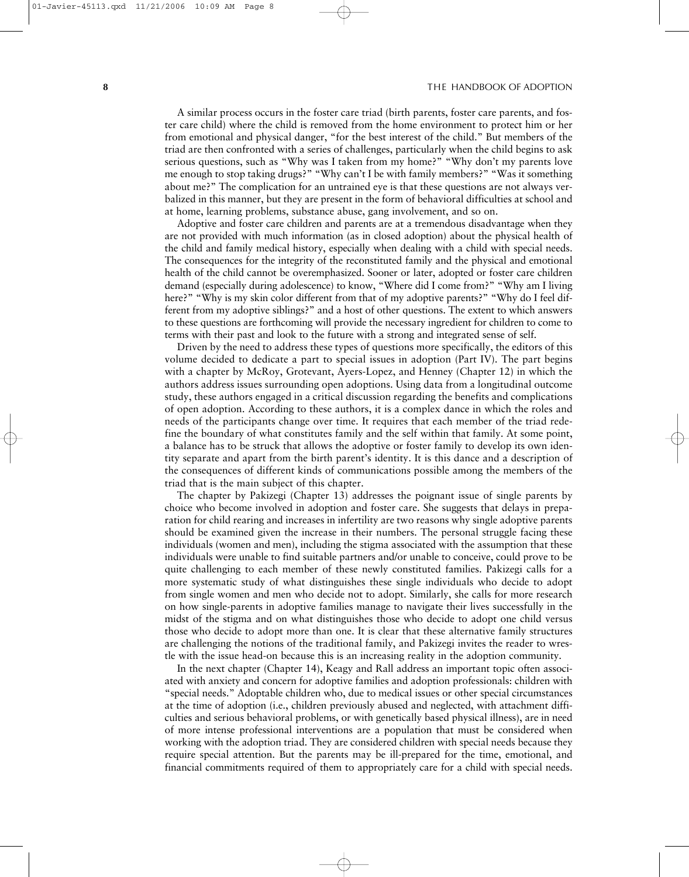A similar process occurs in the foster care triad (birth parents, foster care parents, and foster care child) where the child is removed from the home environment to protect him or her from emotional and physical danger, "for the best interest of the child." But members of the triad are then confronted with a series of challenges, particularly when the child begins to ask serious questions, such as "Why was I taken from my home?" "Why don't my parents love me enough to stop taking drugs?" "Why can't I be with family members?" "Was it something about me?" The complication for an untrained eye is that these questions are not always verbalized in this manner, but they are present in the form of behavioral difficulties at school and at home, learning problems, substance abuse, gang involvement, and so on.

Adoptive and foster care children and parents are at a tremendous disadvantage when they are not provided with much information (as in closed adoption) about the physical health of the child and family medical history, especially when dealing with a child with special needs. The consequences for the integrity of the reconstituted family and the physical and emotional health of the child cannot be overemphasized. Sooner or later, adopted or foster care children demand (especially during adolescence) to know, "Where did I come from?" "Why am I living here?" "Why is my skin color different from that of my adoptive parents?" "Why do I feel different from my adoptive siblings?" and a host of other questions. The extent to which answers to these questions are forthcoming will provide the necessary ingredient for children to come to terms with their past and look to the future with a strong and integrated sense of self.

Driven by the need to address these types of questions more specifically, the editors of this volume decided to dedicate a part to special issues in adoption (Part IV). The part begins with a chapter by McRoy, Grotevant, Ayers-Lopez, and Henney (Chapter 12) in which the authors address issues surrounding open adoptions. Using data from a longitudinal outcome study, these authors engaged in a critical discussion regarding the benefits and complications of open adoption. According to these authors, it is a complex dance in which the roles and needs of the participants change over time. It requires that each member of the triad redefine the boundary of what constitutes family and the self within that family. At some point, a balance has to be struck that allows the adoptive or foster family to develop its own identity separate and apart from the birth parent's identity. It is this dance and a description of the consequences of different kinds of communications possible among the members of the triad that is the main subject of this chapter.

The chapter by Pakizegi (Chapter 13) addresses the poignant issue of single parents by choice who become involved in adoption and foster care. She suggests that delays in preparation for child rearing and increases in infertility are two reasons why single adoptive parents should be examined given the increase in their numbers. The personal struggle facing these individuals (women and men), including the stigma associated with the assumption that these individuals were unable to find suitable partners and/or unable to conceive, could prove to be quite challenging to each member of these newly constituted families. Pakizegi calls for a more systematic study of what distinguishes these single individuals who decide to adopt from single women and men who decide not to adopt. Similarly, she calls for more research on how single-parents in adoptive families manage to navigate their lives successfully in the midst of the stigma and on what distinguishes those who decide to adopt one child versus those who decide to adopt more than one. It is clear that these alternative family structures are challenging the notions of the traditional family, and Pakizegi invites the reader to wrestle with the issue head-on because this is an increasing reality in the adoption community.

In the next chapter (Chapter 14), Keagy and Rall address an important topic often associated with anxiety and concern for adoptive families and adoption professionals: children with "special needs." Adoptable children who, due to medical issues or other special circumstances at the time of adoption (i.e., children previously abused and neglected, with attachment difficulties and serious behavioral problems, or with genetically based physical illness), are in need of more intense professional interventions are a population that must be considered when working with the adoption triad. They are considered children with special needs because they require special attention. But the parents may be ill-prepared for the time, emotional, and financial commitments required of them to appropriately care for a child with special needs.

01-Javier-45113.qxd 11/21/2006 10:09 AM Page 8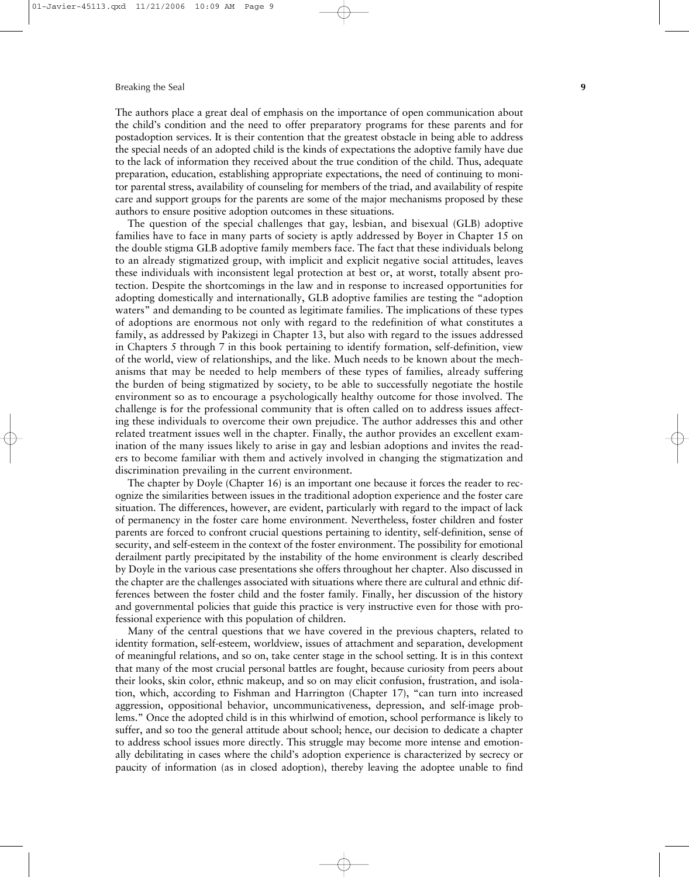The authors place a great deal of emphasis on the importance of open communication about the child's condition and the need to offer preparatory programs for these parents and for postadoption services. It is their contention that the greatest obstacle in being able to address the special needs of an adopted child is the kinds of expectations the adoptive family have due to the lack of information they received about the true condition of the child. Thus, adequate preparation, education, establishing appropriate expectations, the need of continuing to monitor parental stress, availability of counseling for members of the triad, and availability of respite care and support groups for the parents are some of the major mechanisms proposed by these authors to ensure positive adoption outcomes in these situations.

The question of the special challenges that gay, lesbian, and bisexual (GLB) adoptive families have to face in many parts of society is aptly addressed by Boyer in Chapter 15 on the double stigma GLB adoptive family members face. The fact that these individuals belong to an already stigmatized group, with implicit and explicit negative social attitudes, leaves these individuals with inconsistent legal protection at best or, at worst, totally absent protection. Despite the shortcomings in the law and in response to increased opportunities for adopting domestically and internationally, GLB adoptive families are testing the "adoption waters" and demanding to be counted as legitimate families. The implications of these types of adoptions are enormous not only with regard to the redefinition of what constitutes a family, as addressed by Pakizegi in Chapter 13, but also with regard to the issues addressed in Chapters 5 through 7 in this book pertaining to identify formation, self-definition, view of the world, view of relationships, and the like. Much needs to be known about the mechanisms that may be needed to help members of these types of families, already suffering the burden of being stigmatized by society, to be able to successfully negotiate the hostile environment so as to encourage a psychologically healthy outcome for those involved. The challenge is for the professional community that is often called on to address issues affecting these individuals to overcome their own prejudice. The author addresses this and other related treatment issues well in the chapter. Finally, the author provides an excellent examination of the many issues likely to arise in gay and lesbian adoptions and invites the readers to become familiar with them and actively involved in changing the stigmatization and discrimination prevailing in the current environment.

The chapter by Doyle (Chapter 16) is an important one because it forces the reader to recognize the similarities between issues in the traditional adoption experience and the foster care situation. The differences, however, are evident, particularly with regard to the impact of lack of permanency in the foster care home environment. Nevertheless, foster children and foster parents are forced to confront crucial questions pertaining to identity, self-definition, sense of security, and self-esteem in the context of the foster environment. The possibility for emotional derailment partly precipitated by the instability of the home environment is clearly described by Doyle in the various case presentations she offers throughout her chapter. Also discussed in the chapter are the challenges associated with situations where there are cultural and ethnic differences between the foster child and the foster family. Finally, her discussion of the history and governmental policies that guide this practice is very instructive even for those with professional experience with this population of children.

Many of the central questions that we have covered in the previous chapters, related to identity formation, self-esteem, worldview, issues of attachment and separation, development of meaningful relations, and so on, take center stage in the school setting. It is in this context that many of the most crucial personal battles are fought, because curiosity from peers about their looks, skin color, ethnic makeup, and so on may elicit confusion, frustration, and isolation, which, according to Fishman and Harrington (Chapter 17), "can turn into increased aggression, oppositional behavior, uncommunicativeness, depression, and self-image problems." Once the adopted child is in this whirlwind of emotion, school performance is likely to suffer, and so too the general attitude about school; hence, our decision to dedicate a chapter to address school issues more directly. This struggle may become more intense and emotionally debilitating in cases where the child's adoption experience is characterized by secrecy or paucity of information (as in closed adoption), thereby leaving the adoptee unable to find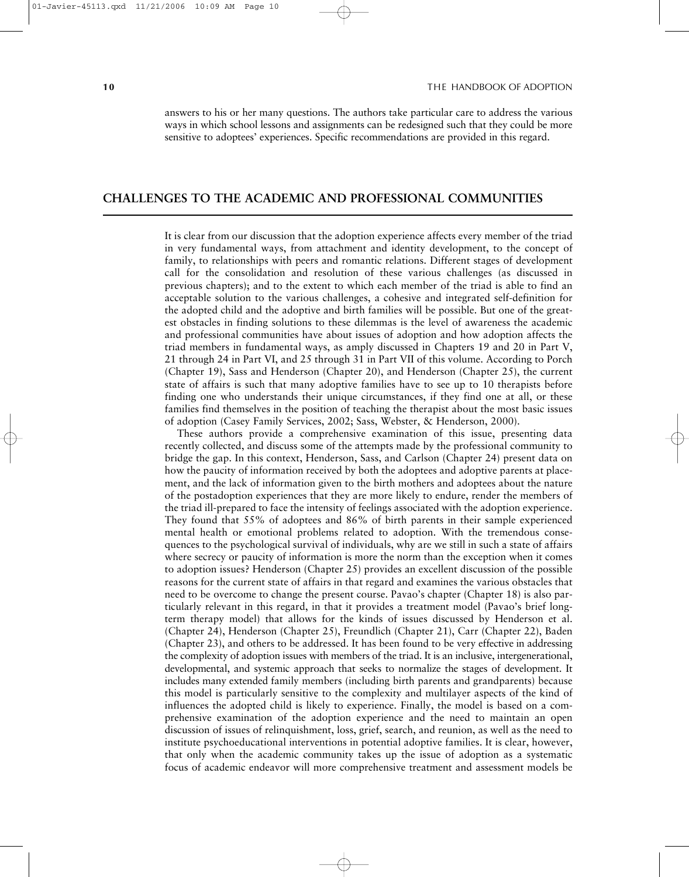answers to his or her many questions. The authors take particular care to address the various ways in which school lessons and assignments can be redesigned such that they could be more sensitive to adoptees' experiences. Specific recommendations are provided in this regard.

# **CHALLENGES TO THE ACADEMIC AND PROFESSIONAL COMMUNITIES**

It is clear from our discussion that the adoption experience affects every member of the triad in very fundamental ways, from attachment and identity development, to the concept of family, to relationships with peers and romantic relations. Different stages of development call for the consolidation and resolution of these various challenges (as discussed in previous chapters); and to the extent to which each member of the triad is able to find an acceptable solution to the various challenges, a cohesive and integrated self-definition for the adopted child and the adoptive and birth families will be possible. But one of the greatest obstacles in finding solutions to these dilemmas is the level of awareness the academic and professional communities have about issues of adoption and how adoption affects the triad members in fundamental ways, as amply discussed in Chapters 19 and 20 in Part V, 21 through 24 in Part VI, and 25 through 31 in Part VII of this volume. According to Porch (Chapter 19), Sass and Henderson (Chapter 20), and Henderson (Chapter 25), the current state of affairs is such that many adoptive families have to see up to 10 therapists before finding one who understands their unique circumstances, if they find one at all, or these families find themselves in the position of teaching the therapist about the most basic issues of adoption (Casey Family Services, 2002; Sass, Webster, & Henderson, 2000).

These authors provide a comprehensive examination of this issue, presenting data recently collected, and discuss some of the attempts made by the professional community to bridge the gap. In this context, Henderson, Sass, and Carlson (Chapter 24) present data on how the paucity of information received by both the adoptees and adoptive parents at placement, and the lack of information given to the birth mothers and adoptees about the nature of the postadoption experiences that they are more likely to endure, render the members of the triad ill-prepared to face the intensity of feelings associated with the adoption experience. They found that 55% of adoptees and 86% of birth parents in their sample experienced mental health or emotional problems related to adoption. With the tremendous consequences to the psychological survival of individuals, why are we still in such a state of affairs where secrecy or paucity of information is more the norm than the exception when it comes to adoption issues? Henderson (Chapter 25) provides an excellent discussion of the possible reasons for the current state of affairs in that regard and examines the various obstacles that need to be overcome to change the present course. Pavao's chapter (Chapter 18) is also particularly relevant in this regard, in that it provides a treatment model (Pavao's brief longterm therapy model) that allows for the kinds of issues discussed by Henderson et al. (Chapter 24), Henderson (Chapter 25), Freundlich (Chapter 21), Carr (Chapter 22), Baden (Chapter 23), and others to be addressed. It has been found to be very effective in addressing the complexity of adoption issues with members of the triad. It is an inclusive, intergenerational, developmental, and systemic approach that seeks to normalize the stages of development. It includes many extended family members (including birth parents and grandparents) because this model is particularly sensitive to the complexity and multilayer aspects of the kind of influences the adopted child is likely to experience. Finally, the model is based on a comprehensive examination of the adoption experience and the need to maintain an open discussion of issues of relinquishment, loss, grief, search, and reunion, as well as the need to institute psychoeducational interventions in potential adoptive families. It is clear, however, that only when the academic community takes up the issue of adoption as a systematic focus of academic endeavor will more comprehensive treatment and assessment models be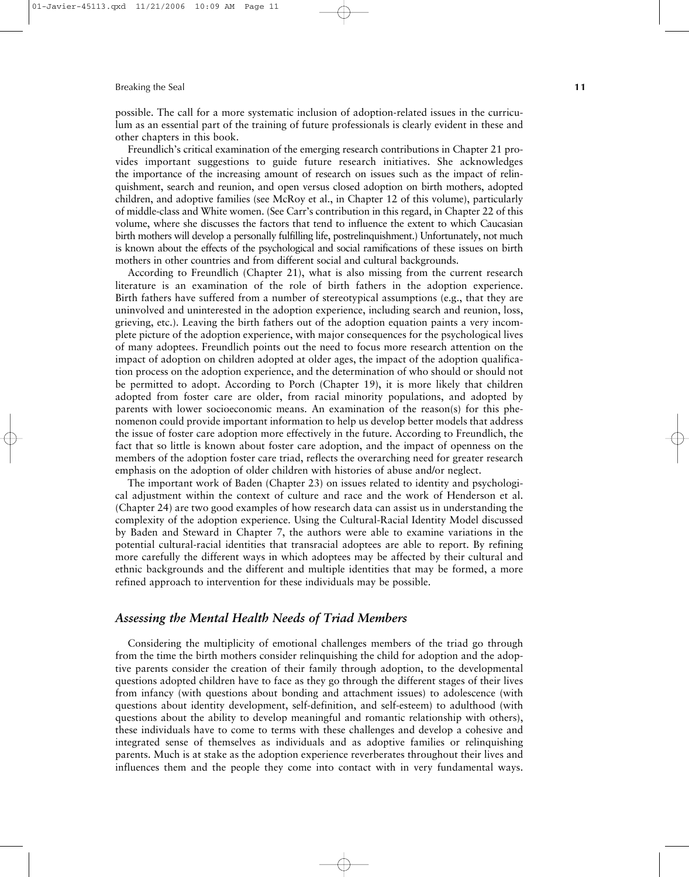possible. The call for a more systematic inclusion of adoption-related issues in the curriculum as an essential part of the training of future professionals is clearly evident in these and other chapters in this book.

Freundlich's critical examination of the emerging research contributions in Chapter 21 provides important suggestions to guide future research initiatives. She acknowledges the importance of the increasing amount of research on issues such as the impact of relinquishment, search and reunion, and open versus closed adoption on birth mothers, adopted children, and adoptive families (see McRoy et al., in Chapter 12 of this volume), particularly of middle-class and White women. (See Carr's contribution in this regard, in Chapter 22 of this volume, where she discusses the factors that tend to influence the extent to which Caucasian birth mothers will develop a personally fulfilling life, postrelinquishment.) Unfortunately, not much is known about the effects of the psychological and social ramifications of these issues on birth mothers in other countries and from different social and cultural backgrounds.

According to Freundlich (Chapter 21), what is also missing from the current research literature is an examination of the role of birth fathers in the adoption experience. Birth fathers have suffered from a number of stereotypical assumptions (e.g., that they are uninvolved and uninterested in the adoption experience, including search and reunion, loss, grieving, etc.). Leaving the birth fathers out of the adoption equation paints a very incomplete picture of the adoption experience, with major consequences for the psychological lives of many adoptees. Freundlich points out the need to focus more research attention on the impact of adoption on children adopted at older ages, the impact of the adoption qualification process on the adoption experience, and the determination of who should or should not be permitted to adopt. According to Porch (Chapter 19), it is more likely that children adopted from foster care are older, from racial minority populations, and adopted by parents with lower socioeconomic means. An examination of the reason(s) for this phenomenon could provide important information to help us develop better models that address the issue of foster care adoption more effectively in the future. According to Freundlich, the fact that so little is known about foster care adoption, and the impact of openness on the members of the adoption foster care triad, reflects the overarching need for greater research emphasis on the adoption of older children with histories of abuse and/or neglect.

The important work of Baden (Chapter 23) on issues related to identity and psychological adjustment within the context of culture and race and the work of Henderson et al. (Chapter 24) are two good examples of how research data can assist us in understanding the complexity of the adoption experience. Using the Cultural-Racial Identity Model discussed by Baden and Steward in Chapter 7, the authors were able to examine variations in the potential cultural-racial identities that transracial adoptees are able to report. By refining more carefully the different ways in which adoptees may be affected by their cultural and ethnic backgrounds and the different and multiple identities that may be formed, a more refined approach to intervention for these individuals may be possible.

# *Assessing the Mental Health Needs of Triad Members*

Considering the multiplicity of emotional challenges members of the triad go through from the time the birth mothers consider relinquishing the child for adoption and the adoptive parents consider the creation of their family through adoption, to the developmental questions adopted children have to face as they go through the different stages of their lives from infancy (with questions about bonding and attachment issues) to adolescence (with questions about identity development, self-definition, and self-esteem) to adulthood (with questions about the ability to develop meaningful and romantic relationship with others), these individuals have to come to terms with these challenges and develop a cohesive and integrated sense of themselves as individuals and as adoptive families or relinquishing parents. Much is at stake as the adoption experience reverberates throughout their lives and influences them and the people they come into contact with in very fundamental ways.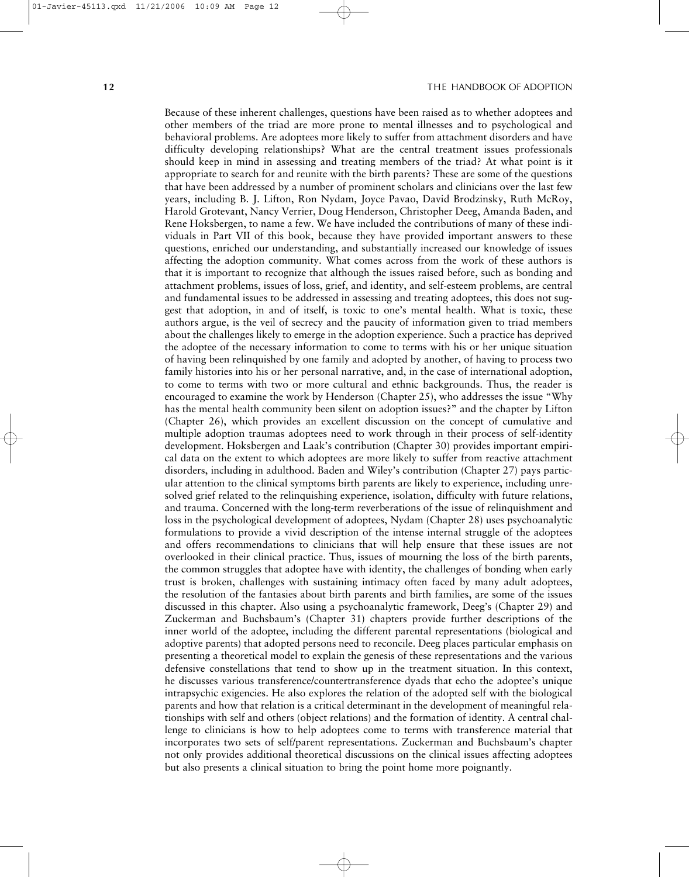Because of these inherent challenges, questions have been raised as to whether adoptees and other members of the triad are more prone to mental illnesses and to psychological and behavioral problems. Are adoptees more likely to suffer from attachment disorders and have difficulty developing relationships? What are the central treatment issues professionals should keep in mind in assessing and treating members of the triad? At what point is it appropriate to search for and reunite with the birth parents? These are some of the questions that have been addressed by a number of prominent scholars and clinicians over the last few years, including B. J. Lifton, Ron Nydam, Joyce Pavao, David Brodzinsky, Ruth McRoy, Harold Grotevant, Nancy Verrier, Doug Henderson, Christopher Deeg, Amanda Baden, and Rene Hoksbergen, to name a few. We have included the contributions of many of these individuals in Part VII of this book, because they have provided important answers to these questions, enriched our understanding, and substantially increased our knowledge of issues affecting the adoption community. What comes across from the work of these authors is that it is important to recognize that although the issues raised before, such as bonding and attachment problems, issues of loss, grief, and identity, and self-esteem problems, are central and fundamental issues to be addressed in assessing and treating adoptees, this does not suggest that adoption, in and of itself, is toxic to one's mental health. What is toxic, these authors argue, is the veil of secrecy and the paucity of information given to triad members about the challenges likely to emerge in the adoption experience. Such a practice has deprived the adoptee of the necessary information to come to terms with his or her unique situation of having been relinquished by one family and adopted by another, of having to process two family histories into his or her personal narrative, and, in the case of international adoption, to come to terms with two or more cultural and ethnic backgrounds. Thus, the reader is encouraged to examine the work by Henderson (Chapter 25), who addresses the issue "Why has the mental health community been silent on adoption issues?" and the chapter by Lifton (Chapter 26), which provides an excellent discussion on the concept of cumulative and multiple adoption traumas adoptees need to work through in their process of self-identity development. Hoksbergen and Laak's contribution (Chapter 30) provides important empirical data on the extent to which adoptees are more likely to suffer from reactive attachment disorders, including in adulthood. Baden and Wiley's contribution (Chapter 27) pays particular attention to the clinical symptoms birth parents are likely to experience, including unresolved grief related to the relinquishing experience, isolation, difficulty with future relations, and trauma. Concerned with the long-term reverberations of the issue of relinquishment and loss in the psychological development of adoptees, Nydam (Chapter 28) uses psychoanalytic formulations to provide a vivid description of the intense internal struggle of the adoptees and offers recommendations to clinicians that will help ensure that these issues are not overlooked in their clinical practice. Thus, issues of mourning the loss of the birth parents, the common struggles that adoptee have with identity, the challenges of bonding when early trust is broken, challenges with sustaining intimacy often faced by many adult adoptees, the resolution of the fantasies about birth parents and birth families, are some of the issues discussed in this chapter. Also using a psychoanalytic framework, Deeg's (Chapter 29) and Zuckerman and Buchsbaum's (Chapter 31) chapters provide further descriptions of the inner world of the adoptee, including the different parental representations (biological and adoptive parents) that adopted persons need to reconcile. Deeg places particular emphasis on presenting a theoretical model to explain the genesis of these representations and the various defensive constellations that tend to show up in the treatment situation. In this context, he discusses various transference/countertransference dyads that echo the adoptee's unique intrapsychic exigencies. He also explores the relation of the adopted self with the biological parents and how that relation is a critical determinant in the development of meaningful relationships with self and others (object relations) and the formation of identity. A central challenge to clinicians is how to help adoptees come to terms with transference material that incorporates two sets of self/parent representations. Zuckerman and Buchsbaum's chapter not only provides additional theoretical discussions on the clinical issues affecting adoptees but also presents a clinical situation to bring the point home more poignantly.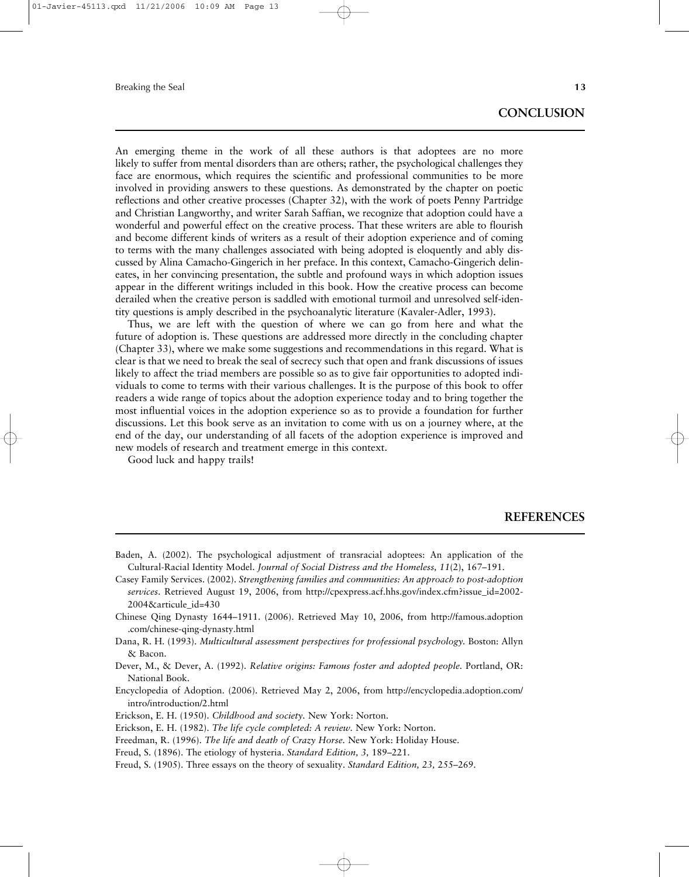## **CONCLUSION**

An emerging theme in the work of all these authors is that adoptees are no more likely to suffer from mental disorders than are others; rather, the psychological challenges they face are enormous, which requires the scientific and professional communities to be more involved in providing answers to these questions. As demonstrated by the chapter on poetic reflections and other creative processes (Chapter 32), with the work of poets Penny Partridge and Christian Langworthy, and writer Sarah Saffian, we recognize that adoption could have a wonderful and powerful effect on the creative process. That these writers are able to flourish and become different kinds of writers as a result of their adoption experience and of coming to terms with the many challenges associated with being adopted is eloquently and ably discussed by Alina Camacho-Gingerich in her preface. In this context, Camacho-Gingerich delineates, in her convincing presentation, the subtle and profound ways in which adoption issues appear in the different writings included in this book. How the creative process can become derailed when the creative person is saddled with emotional turmoil and unresolved self-identity questions is amply described in the psychoanalytic literature (Kavaler-Adler, 1993).

Thus, we are left with the question of where we can go from here and what the future of adoption is. These questions are addressed more directly in the concluding chapter (Chapter 33), where we make some suggestions and recommendations in this regard. What is clear is that we need to break the seal of secrecy such that open and frank discussions of issues likely to affect the triad members are possible so as to give fair opportunities to adopted individuals to come to terms with their various challenges. It is the purpose of this book to offer readers a wide range of topics about the adoption experience today and to bring together the most influential voices in the adoption experience so as to provide a foundation for further discussions. Let this book serve as an invitation to come with us on a journey where, at the end of the day, our understanding of all facets of the adoption experience is improved and new models of research and treatment emerge in this context.

Good luck and happy trails!

# **REFERENCES**

- Baden, A. (2002). The psychological adjustment of transracial adoptees: An application of the Cultural-Racial Identity Model. *Journal of Social Distress and the Homeless, 11*(2), 167–191.
- Casey Family Services. (2002). *Strengthening families and communities: An approach to post-adoption services*. Retrieved August 19, 2006, from http://cpexpress.acf.hhs.gov/index.cfm?issue\_id=2002- 2004&articule\_id=430
- Chinese Qing Dynasty 1644–1911. (2006). Retrieved May 10, 2006, from http://famous.adoption .com/chinese-qing-dynasty.html
- Dana, R. H. (1993). *Multicultural assessment perspectives for professional psychology.* Boston: Allyn & Bacon.
- Dever, M., & Dever, A. (1992). *Relative origins: Famous foster and adopted people.* Portland, OR: National Book.
- Encyclopedia of Adoption. (2006). Retrieved May 2, 2006, from http://encyclopedia.adoption.com/ intro/introduction/2.html
- Erickson, E. H. (1950). *Childhood and society.* New York: Norton.
- Erickson, E. H. (1982). *The life cycle completed: A review.* New York: Norton.
- Freedman, R. (1996). *The life and death of Crazy Horse.* New York: Holiday House.
- Freud, S. (1896). The etiology of hysteria. *Standard Edition, 3,* 189–221.
- Freud, S. (1905). Three essays on the theory of sexuality. *Standard Edition, 23,* 255–269.